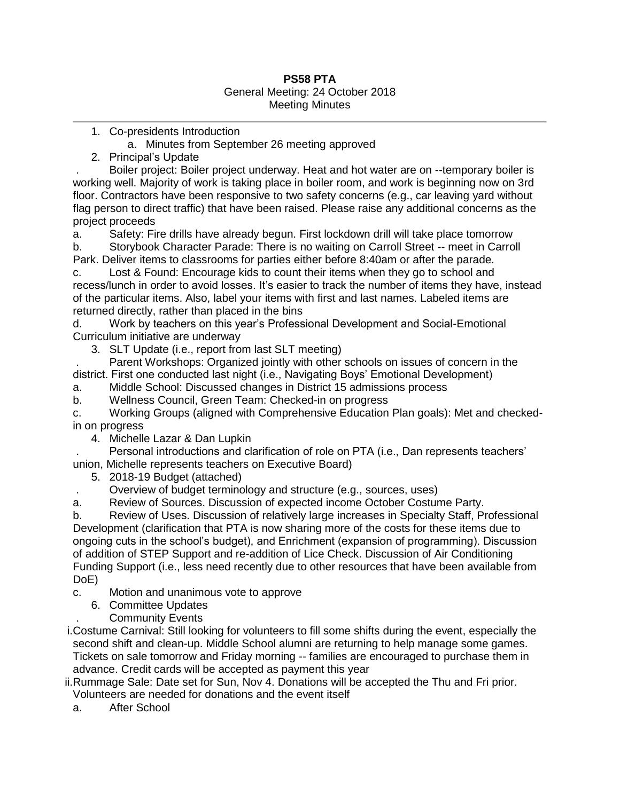## **PS58 PTA** General Meeting: 24 October 2018 Meeting Minutes

1. Co-presidents Introduction

a. Minutes from September 26 meeting approved

2. Principal's Update

. Boiler project: Boiler project underway. Heat and hot water are on --temporary boiler is working well. Majority of work is taking place in boiler room, and work is beginning now on 3rd floor. Contractors have been responsive to two safety concerns (e.g., car leaving yard without flag person to direct traffic) that have been raised. Please raise any additional concerns as the project proceeds

a. Safety: Fire drills have already begun. First lockdown drill will take place tomorrow

b. Storybook Character Parade: There is no waiting on Carroll Street -- meet in Carroll Park. Deliver items to classrooms for parties either before 8:40am or after the parade.

c. Lost & Found: Encourage kids to count their items when they go to school and recess/lunch in order to avoid losses. It's easier to track the number of items they have, instead of the particular items. Also, label your items with first and last names. Labeled items are returned directly, rather than placed in the bins

d. Work by teachers on this year's Professional Development and Social-Emotional Curriculum initiative are underway

3. SLT Update (i.e., report from last SLT meeting)

. Parent Workshops: Organized jointly with other schools on issues of concern in the district. First one conducted last night (i.e., Navigating Boys' Emotional Development)

a. Middle School: Discussed changes in District 15 admissions process

b. Wellness Council, Green Team: Checked-in on progress

c. Working Groups (aligned with Comprehensive Education Plan goals): Met and checkedin on progress

4. Michelle Lazar & Dan Lupkin

. Personal introductions and clarification of role on PTA (i.e., Dan represents teachers' union, Michelle represents teachers on Executive Board)

5. 2018-19 Budget (attached)

. Overview of budget terminology and structure (e.g., sources, uses)

a. Review of Sources. Discussion of expected income October Costume Party.

b. Review of Uses. Discussion of relatively large increases in Specialty Staff, Professional Development (clarification that PTA is now sharing more of the costs for these items due to ongoing cuts in the school's budget), and Enrichment (expansion of programming). Discussion of addition of STEP Support and re-addition of Lice Check. Discussion of Air Conditioning Funding Support (i.e., less need recently due to other resources that have been available from DoE)

c. Motion and unanimous vote to approve

- 6. Committee Updates
	- . Community Events

i.Costume Carnival: Still looking for volunteers to fill some shifts during the event, especially the second shift and clean-up. Middle School alumni are returning to help manage some games. Tickets on sale tomorrow and Friday morning -- families are encouraged to purchase them in advance. Credit cards will be accepted as payment this year

ii.Rummage Sale: Date set for Sun, Nov 4. Donations will be accepted the Thu and Fri prior. Volunteers are needed for donations and the event itself

a. After School